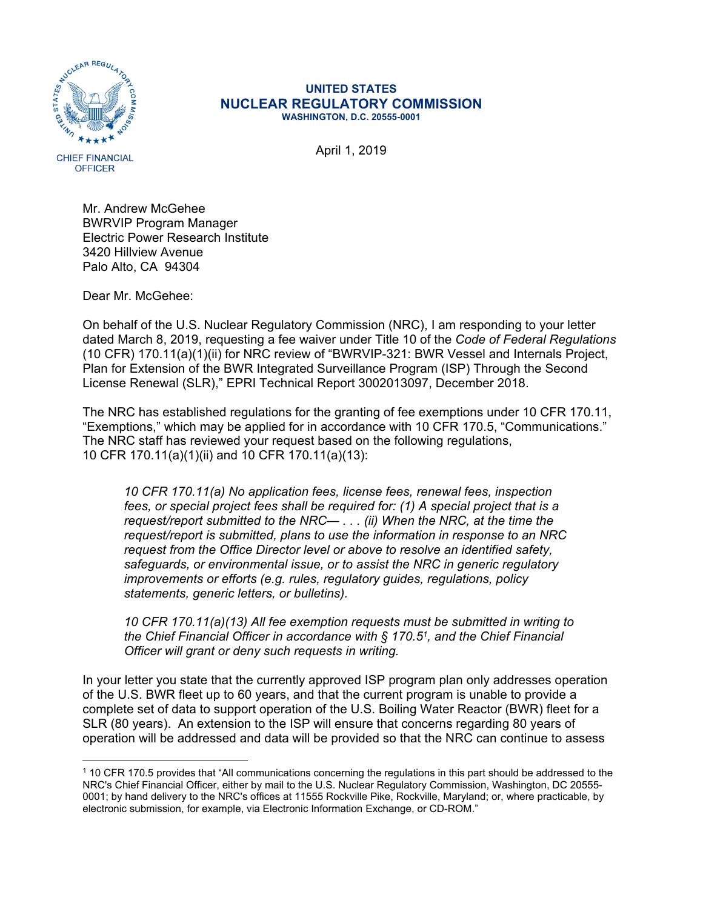

## **UNITED STATES NUCLEAR REGULATORY COMMISSION WASHINGTON, D.C. 20555-0001**

April 1, 2019

**OFFICER** 

Mr. Andrew McGehee BWRVIP Program Manager Electric Power Research Institute 3420 Hillview Avenue Palo Alto, CA 94304

Dear Mr. McGehee:

On behalf of the U.S. Nuclear Regulatory Commission (NRC), I am responding to your letter dated March 8, 2019, requesting a fee waiver under Title 10 of the *Code of Federal Regulations* (10 CFR) 170.11(a)(1)(ii) for NRC review of "BWRVIP-321: BWR Vessel and Internals Project, Plan for Extension of the BWR Integrated Surveillance Program (ISP) Through the Second License Renewal (SLR)," EPRI Technical Report 3002013097, December 2018.

The NRC has established regulations for the granting of fee exemptions under 10 CFR 170.11, "Exemptions," which may be applied for in accordance with 10 CFR 170.5, "Communications." The NRC staff has reviewed your request based on the following regulations, 10 CFR 170.11(a)(1)(ii) and 10 CFR 170.11(a)(13):

*10 CFR 170.11(a) No application fees, license fees, renewal fees, inspection fees, or special project fees shall be required for: (1) A special project that is a request/report submitted to the NRC— . . . (ii) When the NRC, at the time the request/report is submitted, plans to use the information in response to an NRC request from the Office Director level or above to resolve an identified safety, safeguards, or environmental issue, or to assist the NRC in generic regulatory improvements or efforts (e.g. rules, regulatory guides, regulations, policy statements, generic letters, or bulletins).*

*10 CFR 170.11(a)(13) All fee exemption requests must be submitted in writing to the Chief Financial Officer in accordance with § 170.51, and the Chief Financial Officer will grant or deny such requests in writing.* 

In your letter you state that the currently approved ISP program plan only addresses operation of the U.S. BWR fleet up to 60 years, and that the current program is unable to provide a complete set of data to support operation of the U.S. Boiling Water Reactor (BWR) fleet for a SLR (80 years). An extension to the ISP will ensure that concerns regarding 80 years of operation will be addressed and data will be provided so that the NRC can continue to assess

<sup>1 10</sup> CFR 170.5 provides that "All communications concerning the regulations in this part should be addressed to the NRC's Chief Financial Officer, either by mail to the U.S. Nuclear Regulatory Commission, Washington, DC 20555- 0001; by hand delivery to the NRC's offices at 11555 Rockville Pike, Rockville, Maryland; or, where practicable, by electronic submission, for example, via Electronic Information Exchange, or CD-ROM."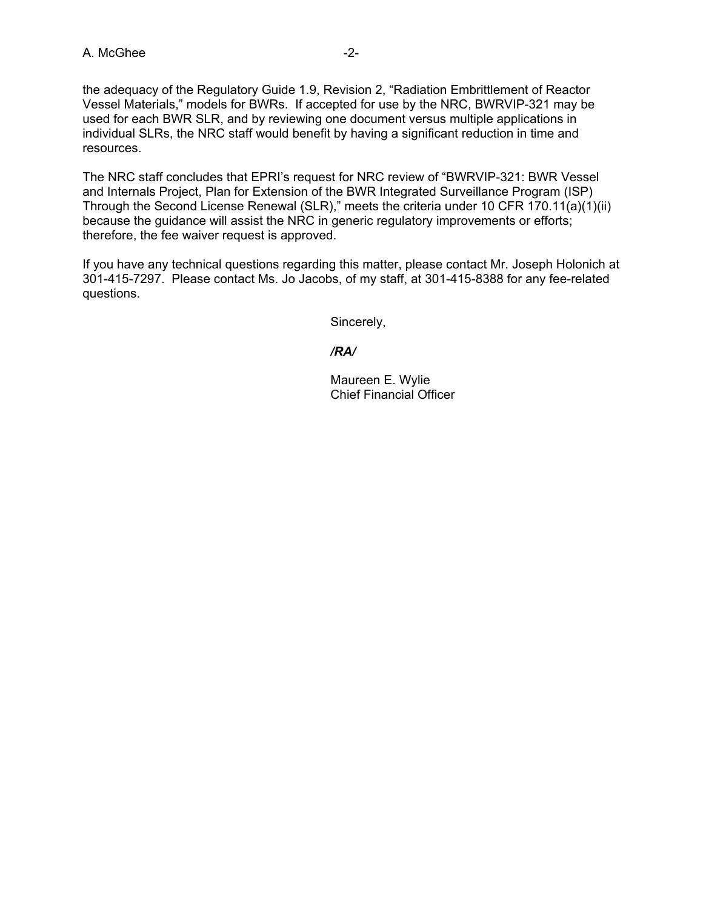the adequacy of the Regulatory Guide 1.9, Revision 2, "Radiation Embrittlement of Reactor Vessel Materials," models for BWRs. If accepted for use by the NRC, BWRVIP-321 may be used for each BWR SLR, and by reviewing one document versus multiple applications in individual SLRs, the NRC staff would benefit by having a significant reduction in time and resources.

The NRC staff concludes that EPRI's request for NRC review of "BWRVIP-321: BWR Vessel and Internals Project, Plan for Extension of the BWR Integrated Surveillance Program (ISP) Through the Second License Renewal (SLR)," meets the criteria under 10 CFR 170.11(a)(1)(ii) because the guidance will assist the NRC in generic regulatory improvements or efforts; therefore, the fee waiver request is approved.

If you have any technical questions regarding this matter, please contact Mr. Joseph Holonich at 301-415-7297. Please contact Ms. Jo Jacobs, of my staff, at 301-415-8388 for any fee-related questions.

Sincerely,

*/RA/* 

 Maureen E. Wylie Chief Financial Officer